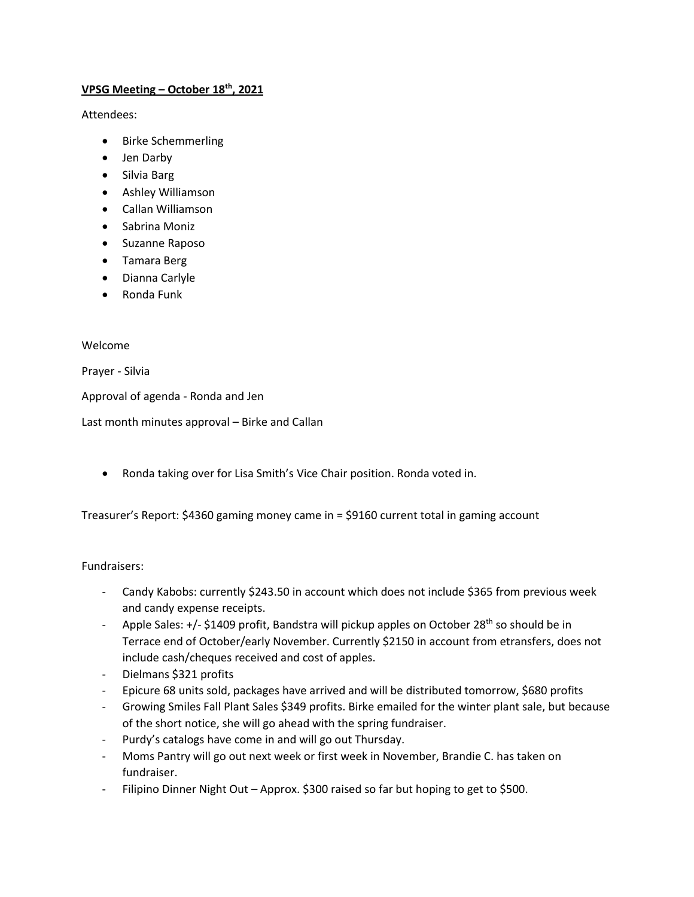## **VPSG Meeting – October 18th, 2021**

Attendees:

- Birke Schemmerling
- Jen Darby
- Silvia Barg
- Ashley Williamson
- Callan Williamson
- Sabrina Moniz
- Suzanne Raposo
- Tamara Berg
- Dianna Carlyle
- Ronda Funk

## Welcome

Prayer - Silvia

Approval of agenda - Ronda and Jen

Last month minutes approval – Birke and Callan

• Ronda taking over for Lisa Smith's Vice Chair position. Ronda voted in.

Treasurer's Report: \$4360 gaming money came in = \$9160 current total in gaming account

# Fundraisers:

- Candy Kabobs: currently \$243.50 in account which does not include \$365 from previous week and candy expense receipts.
- Apple Sales:  $+/-$  \$1409 profit, Bandstra will pickup apples on October 28<sup>th</sup> so should be in Terrace end of October/early November. Currently \$2150 in account from etransfers, does not include cash/cheques received and cost of apples.
- Dielmans \$321 profits
- Epicure 68 units sold, packages have arrived and will be distributed tomorrow, \$680 profits
- Growing Smiles Fall Plant Sales \$349 profits. Birke emailed for the winter plant sale, but because of the short notice, she will go ahead with the spring fundraiser.
- Purdy's catalogs have come in and will go out Thursday.
- Moms Pantry will go out next week or first week in November, Brandie C. has taken on fundraiser.
- Filipino Dinner Night Out Approx. \$300 raised so far but hoping to get to \$500.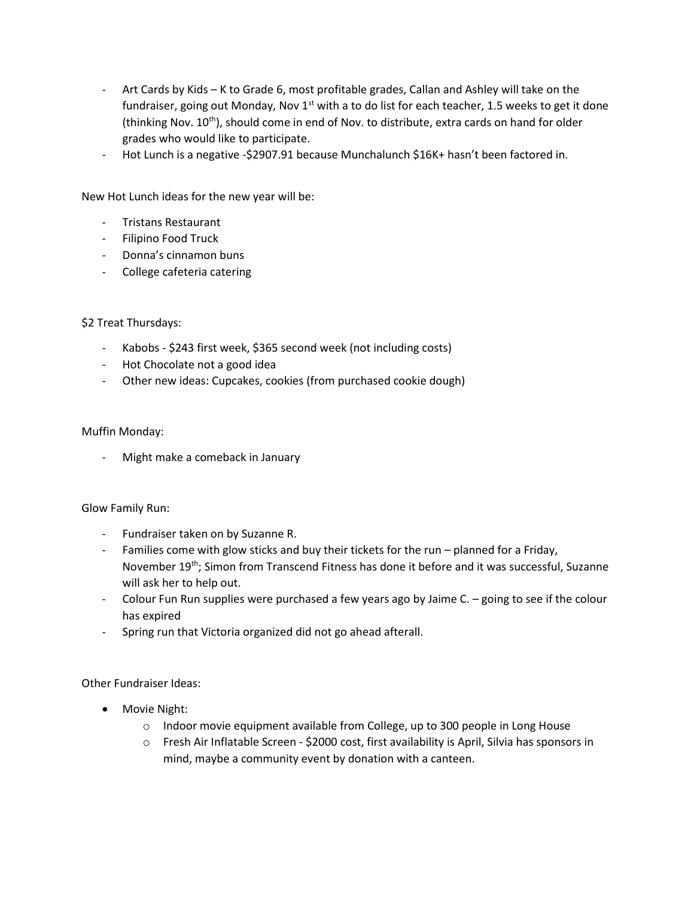- Art Cards by Kids K to Grade 6, most profitable grades, Callan and Ashley will take on the fundraiser, going out Monday, Nov 1<sup>st</sup> with a to do list for each teacher, 1.5 weeks to get it done (thinking Nov.  $10^{th}$ ), should come in end of Nov. to distribute, extra cards on hand for older grades who would like to participate.
- Hot Lunch is a negative -\$2907.91 because Munchalunch \$16K+ hasn't been factored in.

New Hot Lunch ideas for the new year will be:

- Tristans Restaurant
- Filipino Food Truck
- Donna's cinnamon buns
- College cafeteria catering

## \$2 Treat Thursdays:

- Kabobs \$243 first week, \$365 second week (not including costs)
- Hot Chocolate not a good idea
- Other new ideas: Cupcakes, cookies (from purchased cookie dough)

#### Muffin Monday:

Might make a comeback in January

#### Glow Family Run:

- Fundraiser taken on by Suzanne R.
- Families come with glow sticks and buy their tickets for the run planned for a Friday, November 19<sup>th</sup>; Simon from Transcend Fitness has done it before and it was successful, Suzanne will ask her to help out.
- Colour Fun Run supplies were purchased a few years ago by Jaime C. going to see if the colour has expired
- Spring run that Victoria organized did not go ahead afterall.

Other Fundraiser Ideas:

- Movie Night:
	- $\circ$  Indoor movie equipment available from College, up to 300 people in Long House
	- o Fresh Air Inflatable Screen \$2000 cost, first availability is April, Silvia has sponsors in mind, maybe a community event by donation with a canteen.